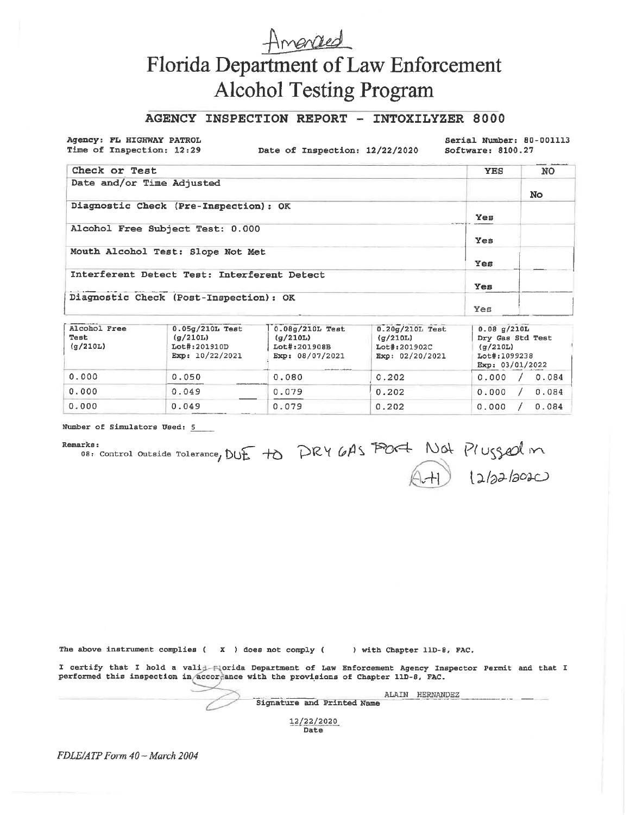# Amended Florida Department of Law Enforcement **Alcohol Testing Program**

## AGENCY INSPECTION REPORT - INTOXILYZER 8000

Agency: FL HIGHWAY PATROL Time of Inspection: 12:29

Date of Inspection: 12/22/2020

Serial Number: 80-001113 Software: 8100.27

| Check or Test                               | <b>YES</b> | <b>NO</b> |
|---------------------------------------------|------------|-----------|
| Date and/or Time Adjusted                   |            | No        |
| Diagnostic Check (Pre-Inspection): OK       | Yes        |           |
| Alcohol Free Subject Test: 0.000            | Yes        |           |
| Mouth Alcohol Test: Slope Not Met           | Yes        |           |
| Interferent Detect Test: Interferent Detect | Yes        |           |
| Diagnostic Check (Post-Inspection): OK      | Yes        |           |

| Alcohol Free<br>Test<br>$\sigma/210L$ | $0.05g/210L$ Test<br>(a/210L)<br>Lot#:201910D<br>Exp: $10/22/2021$ | $0.08q/210L$ Test<br>(q/210L)<br>Lot#:201908B<br>Exp: 08/07/2021<br>Anna Alexandra Companies | $0.20q/210L$ Test<br>(q/210L)<br>Lot#:201902C<br>Exp: 02/20/2021 | 0.08 q/210L<br>Dry Gas Std Test<br>$(\sigma/210L)$<br>Lot#:1099238<br>Exp: 03/01/2022 |  |  |  |
|---------------------------------------|--------------------------------------------------------------------|----------------------------------------------------------------------------------------------|------------------------------------------------------------------|---------------------------------------------------------------------------------------|--|--|--|
| 0.000                                 | 0.050                                                              | 0.080                                                                                        | 0.202                                                            | 0.000<br>0.084                                                                        |  |  |  |
| 0.000                                 | 0.049                                                              | 0.079                                                                                        | 0.202                                                            | 0.000<br>0.084                                                                        |  |  |  |
| 0.000                                 | 0.049                                                              | 0.079                                                                                        | 0.202                                                            | 0.084<br>0.000                                                                        |  |  |  |

Number of Simulators Used: 5

#### Remarks:

erks:<br>08: Control Outside Tolerance, DUE to PRY 6AS PORT NOT Plugged m

|  |  |  |                            | The above instrument complies ( $X$ ) does not comply () with Chapter 11D-8, FAC.                                                                                                            |           |  |  |
|--|--|--|----------------------------|----------------------------------------------------------------------------------------------------------------------------------------------------------------------------------------------|-----------|--|--|
|  |  |  |                            | I certify that I hold a valid Florida Department of Law Enforcement Agency Inspector Permit and that I<br>performed this inspection in accordance with the provisions of Chapter 11D-8, FAC. |           |  |  |
|  |  |  |                            | ALAIN                                                                                                                                                                                        | HERNANDEZ |  |  |
|  |  |  | Signature and Printed Name |                                                                                                                                                                                              |           |  |  |
|  |  |  | 12/22/2020                 |                                                                                                                                                                                              |           |  |  |

78/88/8080 Date